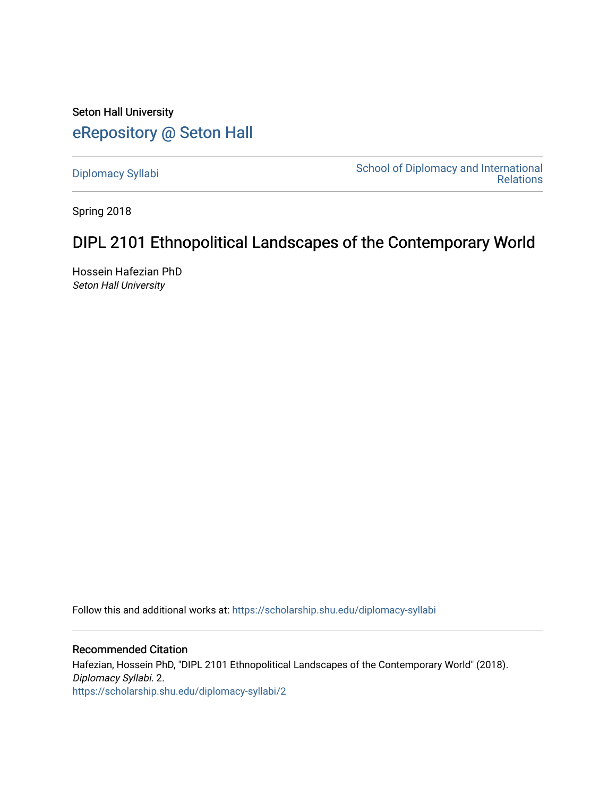Seton Hall University [eRepository @ Seton Hall](https://scholarship.shu.edu/)

[Diplomacy Syllabi](https://scholarship.shu.edu/diplomacy-syllabi) [School of Diplomacy and International](https://scholarship.shu.edu/diplomacy)  [Relations](https://scholarship.shu.edu/diplomacy) 

Spring 2018

# DIPL 2101 Ethnopolitical Landscapes of the Contemporary World

Hossein Hafezian PhD Seton Hall University

Follow this and additional works at: [https://scholarship.shu.edu/diplomacy-syllabi](https://scholarship.shu.edu/diplomacy-syllabi?utm_source=scholarship.shu.edu%2Fdiplomacy-syllabi%2F2&utm_medium=PDF&utm_campaign=PDFCoverPages) 

Recommended Citation Hafezian, Hossein PhD, "DIPL 2101 Ethnopolitical Landscapes of the Contemporary World" (2018). Diplomacy Syllabi. 2. [https://scholarship.shu.edu/diplomacy-syllabi/2](https://scholarship.shu.edu/diplomacy-syllabi/2?utm_source=scholarship.shu.edu%2Fdiplomacy-syllabi%2F2&utm_medium=PDF&utm_campaign=PDFCoverPages)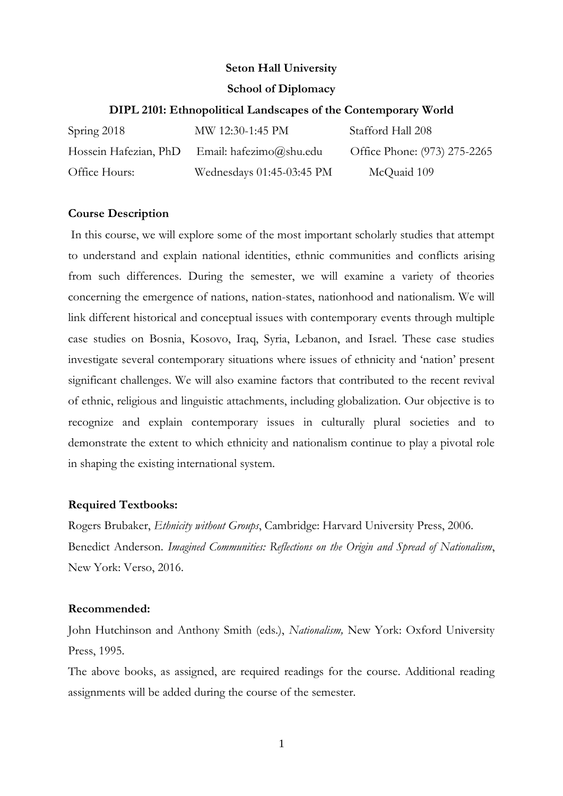## **Seton Hall University**

## **School of Diplomacy**

## **DIPL 2101: Ethnopolitical Landscapes of the Contemporary World**

| Spring 2018   | MW 12:30-1:45 PM                              | Stafford Hall 208            |
|---------------|-----------------------------------------------|------------------------------|
|               | Hossein Hafezian, PhD Email: hafezimo@shu.edu | Office Phone: (973) 275-2265 |
| Office Hours: | Wednesdays 01:45-03:45 PM                     | McQuaid 109                  |

## **Course Description**

In this course, we will explore some of the most important scholarly studies that attempt to understand and explain national identities, ethnic communities and conflicts arising from such differences. During the semester, we will examine a variety of theories concerning the emergence of nations, nation-states, nationhood and nationalism. We will link different historical and conceptual issues with contemporary events through multiple case studies on Bosnia, Kosovo, Iraq, Syria, Lebanon, and Israel. These case studies investigate several contemporary situations where issues of ethnicity and 'nation' present significant challenges. We will also examine factors that contributed to the recent revival of ethnic, religious and linguistic attachments, including globalization. Our objective is to recognize and explain contemporary issues in culturally plural societies and to demonstrate the extent to which ethnicity and nationalism continue to play a pivotal role in shaping the existing international system.

# **Required Textbooks:**

Rogers Brubaker, *Ethnicity without Groups*, Cambridge: Harvard University Press, 2006. Benedict Anderson. *Imagined Communities: Reflections on the Origin and Spread of Nationalism*, New York: Verso, 2016.

### **Recommended:**

John Hutchinson and Anthony Smith (eds.), *Nationalism,* New York: Oxford University Press, 1995.

The above books, as assigned, are required readings for the course. Additional reading assignments will be added during the course of the semester.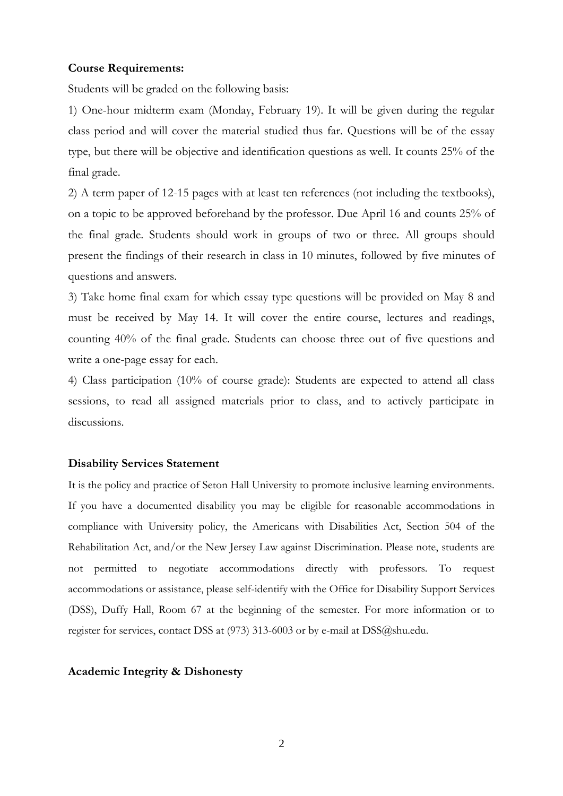#### **Course Requirements:**

Students will be graded on the following basis:

1) One-hour midterm exam (Monday, February 19). It will be given during the regular class period and will cover the material studied thus far. Questions will be of the essay type, but there will be objective and identification questions as well. It counts 25% of the final grade.

2) A term paper of 12-15 pages with at least ten references (not including the textbooks), on a topic to be approved beforehand by the professor. Due April 16 and counts 25% of the final grade. Students should work in groups of two or three. All groups should present the findings of their research in class in 10 minutes, followed by five minutes of questions and answers.

3) Take home final exam for which essay type questions will be provided on May 8 and must be received by May 14. It will cover the entire course, lectures and readings, counting 40% of the final grade. Students can choose three out of five questions and write a one-page essay for each.

4) Class participation (10% of course grade): Students are expected to attend all class sessions, to read all assigned materials prior to class, and to actively participate in discussions.

#### **Disability Services Statement**

It is the policy and practice of Seton Hall University to promote inclusive learning environments. If you have a documented disability you may be eligible for reasonable accommodations in compliance with University policy, the Americans with Disabilities Act, Section 504 of the Rehabilitation Act, and/or the New Jersey Law against Discrimination. Please note, students are not permitted to negotiate accommodations directly with professors. To request accommodations or assistance, please self-identify with the Office for Disability Support Services (DSS), Duffy Hall, Room 67 at the beginning of the semester. For more information or to register for services, contact DSS at [\(973\) 313-6003](tel:%28973%29%20313-6003) or by e-mail at [DSS@shu.edu.](mailto:DSS@shu.edu)

#### **Academic Integrity & Dishonesty**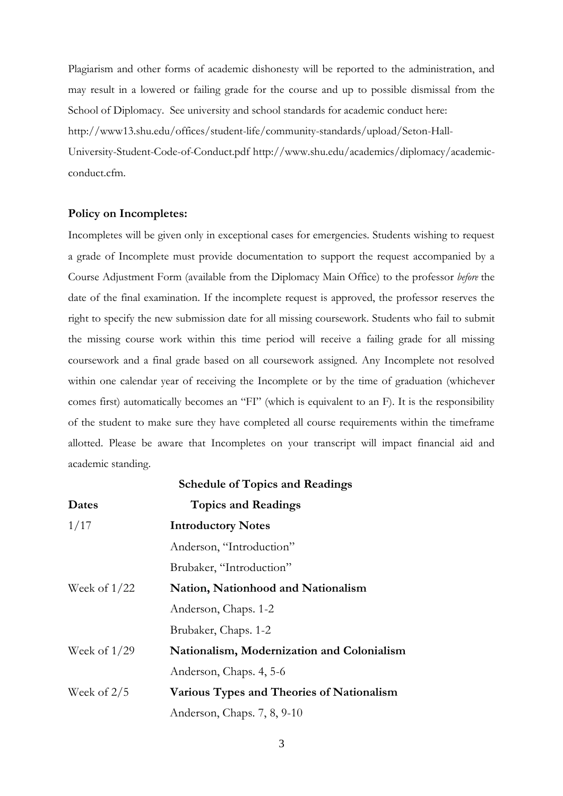Plagiarism and other forms of academic dishonesty will be reported to the administration, and may result in a lowered or failing grade for the course and up to possible dismissal from the School of Diplomacy. See university and school standards for academic conduct here: [http://www13.shu.edu/offices/student-life/community-standards/upload/Seton-Hall-](http://www13.shu.edu/offices/student-life/community-standards/upload/Seton-Hall-University-Student-Code-of-Conduct.pdf)[University-Student-Code-of-Conduct.pdf](http://www13.shu.edu/offices/student-life/community-standards/upload/Seton-Hall-University-Student-Code-of-Conduct.pdf) [http://www.shu.edu/academics/diplomacy/academic](http://www.shu.edu/academics/diplomacy/academic-conduct.cfm)[conduct.cfm.](http://www.shu.edu/academics/diplomacy/academic-conduct.cfm)

#### **Policy on Incompletes:**

Incompletes will be given only in exceptional cases for emergencies. Students wishing to request a grade of Incomplete must provide documentation to support the request accompanied by a Course Adjustment Form (available from the Diplomacy Main Office) to the professor *before* the date of the final examination. If the incomplete request is approved, the professor reserves the right to specify the new submission date for all missing coursework. Students who fail to submit the missing course work within this time period will receive a failing grade for all missing coursework and a final grade based on all coursework assigned. Any Incomplete not resolved within one calendar year of receiving the Incomplete or by the time of graduation (whichever comes first) automatically becomes an "FI" (which is equivalent to an F). It is the responsibility of the student to make sure they have completed all course requirements within the timeframe allotted. Please be aware that Incompletes on your transcript will impact financial aid and academic standing.

|                | <b>Schedule of Topics and Readings</b>     |
|----------------|--------------------------------------------|
| Dates          | <b>Topics and Readings</b>                 |
| 1/17           | <b>Introductory Notes</b>                  |
|                | Anderson, "Introduction"                   |
|                | Brubaker, "Introduction"                   |
| Week of $1/22$ | Nation, Nationhood and Nationalism         |
|                | Anderson, Chaps. 1-2                       |
|                | Brubaker, Chaps. 1-2                       |
| Week of $1/29$ | Nationalism, Modernization and Colonialism |
|                | Anderson, Chaps. 4, 5-6                    |
| Week of $2/5$  | Various Types and Theories of Nationalism  |
|                | Anderson, Chaps. 7, 8, 9-10                |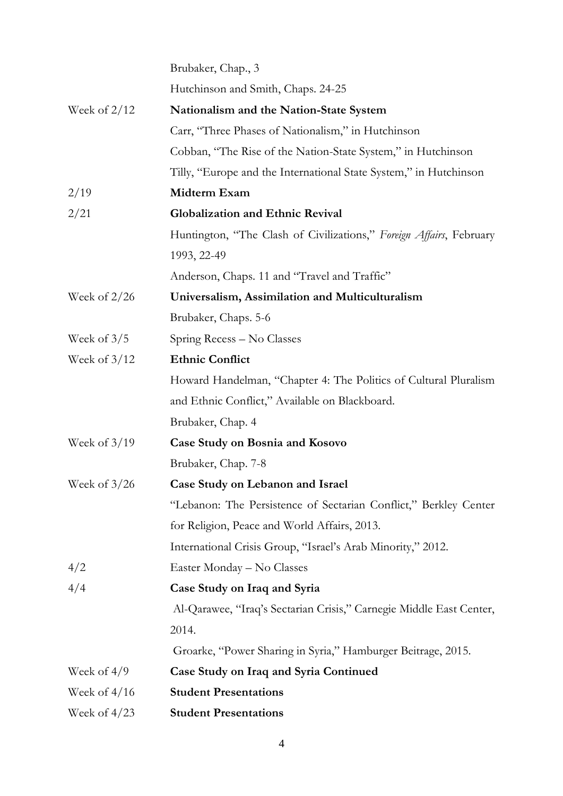|                | Brubaker, Chap., 3                                                  |  |  |
|----------------|---------------------------------------------------------------------|--|--|
|                | Hutchinson and Smith, Chaps. 24-25                                  |  |  |
| Week of $2/12$ | <b>Nationalism and the Nation-State System</b>                      |  |  |
|                | Carr, "Three Phases of Nationalism," in Hutchinson                  |  |  |
|                | Cobban, "The Rise of the Nation-State System," in Hutchinson        |  |  |
|                | Tilly, "Europe and the International State System," in Hutchinson   |  |  |
| 2/19           | Midterm Exam                                                        |  |  |
| 2/21           | <b>Globalization and Ethnic Revival</b>                             |  |  |
|                | Huntington, "The Clash of Civilizations," Foreign Affairs, February |  |  |
|                | 1993, 22-49                                                         |  |  |
|                | Anderson, Chaps. 11 and "Travel and Traffic"                        |  |  |
| Week of $2/26$ | Universalism, Assimilation and Multiculturalism                     |  |  |
|                | Brubaker, Chaps. 5-6                                                |  |  |
| Week of $3/5$  | Spring Recess – No Classes                                          |  |  |
| Week of $3/12$ | <b>Ethnic Conflict</b>                                              |  |  |
|                | Howard Handelman, "Chapter 4: The Politics of Cultural Pluralism    |  |  |
|                | and Ethnic Conflict," Available on Blackboard.                      |  |  |
|                | Brubaker, Chap. 4                                                   |  |  |
| Week of $3/19$ | <b>Case Study on Bosnia and Kosovo</b>                              |  |  |
|                | Brubaker, Chap. 7-8                                                 |  |  |
| Week of $3/26$ | Case Study on Lebanon and Israel                                    |  |  |
|                | "Lebanon: The Persistence of Sectarian Conflict," Berkley Center    |  |  |
|                | for Religion, Peace and World Affairs, 2013.                        |  |  |
|                | International Crisis Group, "Israel's Arab Minority," 2012.         |  |  |
| 4/2            | Easter Monday – No Classes                                          |  |  |
| 4/4            | Case Study on Iraq and Syria                                        |  |  |
|                | Al-Qarawee, "Iraq's Sectarian Crisis," Carnegie Middle East Center, |  |  |
|                | 2014.                                                               |  |  |
|                | Groarke, "Power Sharing in Syria," Hamburger Beitrage, 2015.        |  |  |
| Week of $4/9$  | Case Study on Iraq and Syria Continued                              |  |  |
| Week of $4/16$ | <b>Student Presentations</b>                                        |  |  |
| Week of $4/23$ | <b>Student Presentations</b>                                        |  |  |